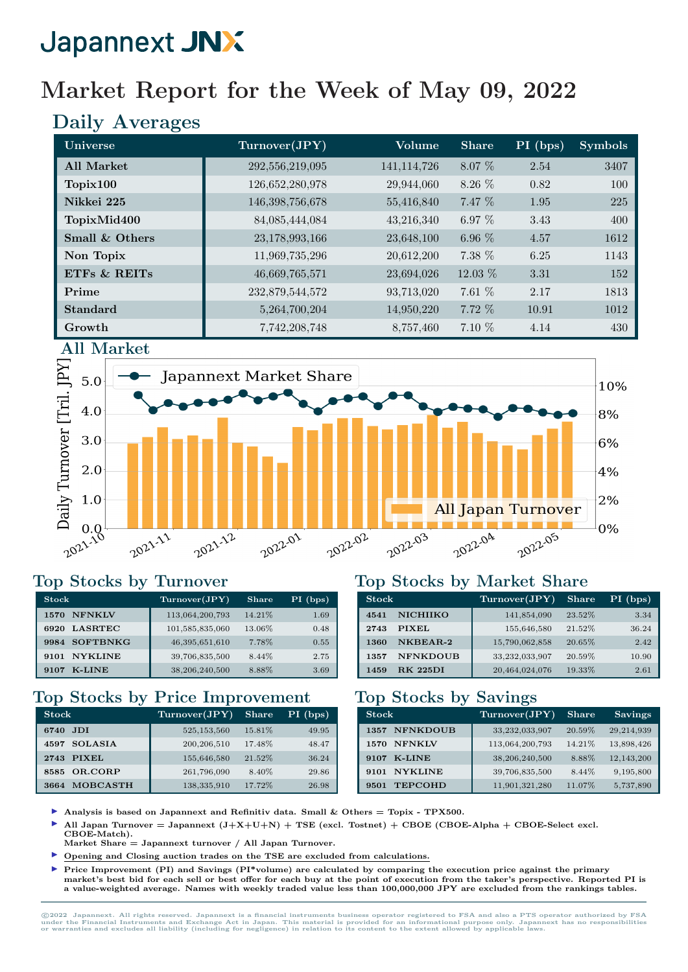# Market Report for the Week of May 09, 2022

# Daily Averages

| Universe          | Turnover(JPY)   | Volume        | <b>Share</b> | PI (bps) | <b>Symbols</b> |
|-------------------|-----------------|---------------|--------------|----------|----------------|
| <b>All Market</b> | 292,556,219,095 | 141, 114, 726 | 8.07 %       | 2.54     | 3407           |
| Topix100          | 126,652,280,978 | 29,944,060    | 8.26 %       | 0.82     | 100            |
| Nikkei 225        | 146,398,756,678 | 55,416,840    | 7.47 %       | 1.95     | 225            |
| TopixMid400       | 84,085,444,084  | 43,216,340    | 6.97 $%$     | 3.43     | 400            |
| Small & Others    | 23,178,993,166  | 23,648,100    | 6.96 $%$     | 4.57     | 1612           |
| Non Topix         | 11,969,735,296  | 20,612,200    | 7.38 %       | 6.25     | 1143           |
| ETFS & REITS      | 46,669,765,571  | 23,694,026    | 12.03 %      | 3.31     | 152            |
| Prime             | 232,879,544,572 | 93,713,020    | 7.61 %       | 2.17     | 1813           |
| <b>Standard</b>   | 5,264,700,204   | 14,950,220    | 7.72 %       | 10.91    | 1012           |
| Growth            | 7,742,208,748   | 8,757,460     | 7.10 %       | 4.14     | 430            |



#### Top Stocks by Turnover

| <b>Stock</b>            | Turnover(JPY)     | Share  | $PI$ (bps) |
|-------------------------|-------------------|--------|------------|
| <b>NFNKLV</b><br>1570   | 113,064,200,793   | 14.21% | 1.69       |
| <b>LASRTEC</b><br>6920  | 101,585,835,060   | 13.06% | 0.48       |
| <b>SOFTBNKG</b><br>9984 | 46, 395, 651, 610 | 7.78%  | 0.55       |
| <b>NYKLINE</b><br>9101  | 39,706,835,500    | 8.44%  | 2.75       |
| <b>K-LINE</b><br>9107   | 38,206,240,500    | 8.88%  | 3.69       |

### Top Stocks by Price Improvement

| <b>Stock</b>            | Turnover(JPY) | <b>Share</b> | PI (bps) |
|-------------------------|---------------|--------------|----------|
| JDI.<br>6740            | 525,153,560   | 15.81%       | 49.95    |
| <b>SOLASIA</b><br>4597  | 200, 206, 510 | 17.48%       | 48.47    |
| PIXEL<br>2743           | 155,646,580   | 21.52%       | 36.24    |
| OR.CORP<br>8585         | 261,796,090   | 8.40%        | 29.86    |
| <b>MOBCASTH</b><br>3664 | 138, 335, 910 | 17.72%       | 26.98    |

#### Top Stocks by Market Share

| <b>Stock</b> |                 | Turnover(JPY)  | <b>Share</b> | $PI$ (bps) |
|--------------|-----------------|----------------|--------------|------------|
| 4541         | <b>NICHIIKO</b> | 141,854,090    | 23.52%       | 3.34       |
| 2743         | <b>PIXEL</b>    | 155,646,580    | 21.52%       | 36.24      |
| 1360         | NKBEAR-2        | 15,790,062,858 | 20.65%       | 2.42       |
| 1357         | <b>NFNKDOUB</b> | 33,232,033,907 | 20.59%       | 10.90      |
| 1459         | <b>RK 225DI</b> | 20,464,024,076 | 19.33%       | 2.61       |

#### Top Stocks by Savings

| <b>Stock</b>            | Turnover(JPY)   | <b>Share</b> | <b>Savings</b> |
|-------------------------|-----------------|--------------|----------------|
| <b>NFNKDOUB</b><br>1357 | 33,232,033,907  | 20.59%       | 29,214,939     |
| <b>NFNKLV</b><br>1570   | 113,064,200,793 | 14.21%       | 13,898,426     |
| <b>K-LINE</b><br>9107   | 38,206,240,500  | 8.88%        | 12,143,200     |
| <b>NYKLINE</b><br>9101  | 39,706,835,500  | 8.44\%       | 9,195,800      |
| <b>TEPCOHD</b><br>9501  | 11,901,321,280  | 11.07%       | 5,737,890      |

- Analysis is based on Japannext and Refinitiv data. Small  $\&$  Others = Topix TPX500.
- All Japan Turnover = Japannext  $(J+X+U+N)$  + TSE (excl. Tostnet) + CBOE (CBOE-Alpha + CBOE-Select excl.
- CBOE-Match). Market Share = Japannext turnover / All Japan Turnover.
- I Opening and Closing auction trades on the TSE are excluded from calculations.
- Price Improvement (PI) and Savings (PI\*volume) are calculated by comparing the execution price against the primary market's best bid for each sell or best offer for each buy at the point of execution from the taker's perspective. Reported PI is a value-weighted average. Names with weekly traded value less than 100,000,000 JPY are excluded from the rankings tables.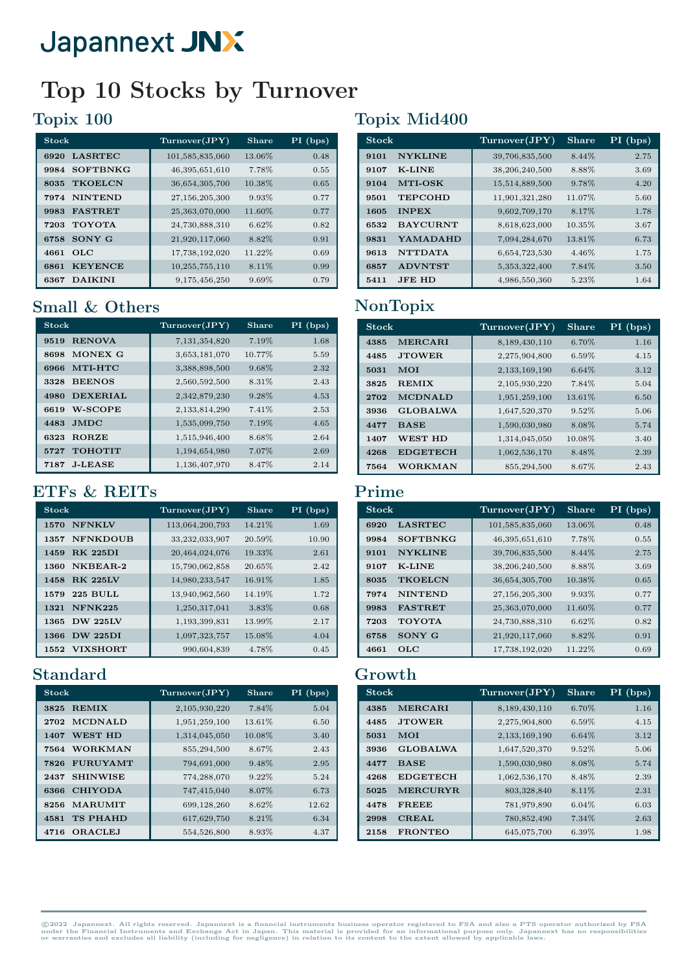# Top 10 Stocks by Turnover

# Topix 100

| <b>Stock</b>            | Turnover(JPY)   | Share  | PI (bps) |
|-------------------------|-----------------|--------|----------|
| <b>LASRTEC</b><br>6920  | 101,585,835,060 | 13.06% | 0.48     |
| <b>SOFTBNKG</b><br>9984 | 46,395,651,610  | 7.78%  | 0.55     |
| <b>TKOELCN</b><br>8035  | 36,654,305,700  | 10.38% | 0.65     |
| <b>NINTEND</b><br>7974  | 27,156,205,300  | 9.93%  | 0.77     |
| <b>FASTRET</b><br>9983  | 25,363,070,000  | 11.60% | 0.77     |
| <b>TOYOTA</b><br>7203   | 24,730,888,310  | 6.62%  | 0.82     |
| SONY G<br>6758          | 21,920,117,060  | 8.82%  | 0.91     |
| OLC<br>4661             | 17,738,192,020  | 11.22% | 0.69     |
| <b>KEYENCE</b><br>6861  | 10,255,755,110  | 8.11%  | 0.99     |
| <b>DAIKINI</b><br>6367  | 9,175,456,250   | 9.69%  | 0.79     |

### Small & Others

| <b>Stock</b>            | Turnover(JPY) | <b>Share</b> | PI (bps) |
|-------------------------|---------------|--------------|----------|
| <b>RENOVA</b><br>9519   | 7,131,354,820 | 7.19%        | 1.68     |
| MONEX G<br>8698         | 3,653,181,070 | 10.77%       | 5.59     |
| MTI-HTC<br>6966         | 3,388,898,500 | 9.68%        | 2.32     |
| <b>BEENOS</b><br>3328   | 2,560,592,500 | 8.31%        | 2.43     |
| <b>DEXERIAL</b><br>4980 | 2,342,879,230 | 9.28%        | 4.53     |
| <b>W-SCOPE</b><br>6619  | 2,133,814,290 | 7.41%        | 2.53     |
| <b>JMDC</b><br>4483     | 1,535,099,750 | 7.19%        | 4.65     |
| <b>RORZE</b><br>6323    | 1,515,946,400 | 8.68%        | 2.64     |
| <b>TOHOTIT</b><br>5727  | 1,194,654,980 | 7.07%        | 2.69     |
| <b>J-LEASE</b><br>7187  | 1,136,407,970 | 8.47%        | 2.14     |

#### ETFs & REITs

| <b>Stock</b>            | Turnover(JPY)   | <b>Share</b> | $PI$ (bps) |
|-------------------------|-----------------|--------------|------------|
| <b>NFNKLV</b><br>1570   | 113,064,200,793 | 14.21%       | 1.69       |
| <b>NFNKDOUB</b><br>1357 | 33,232,033,907  | 20.59%       | 10.90      |
| <b>RK 225DI</b><br>1459 | 20,464,024,076  | 19.33%       | 2.61       |
| NKBEAR-2<br>1360        | 15,790,062,858  | 20.65%       | 2.42       |
| <b>RK 225LV</b><br>1458 | 14,980,233,547  | 16.91%       | 1.85       |
| <b>225 BULL</b><br>1579 | 13,940,962,560  | 14.19%       | 1.72       |
| NFNK225<br>1321         | 1,250,317,041   | 3.83%        | 0.68       |
| <b>DW 225LV</b><br>1365 | 1,193,399,831   | 13.99%       | 2.17       |
| <b>DW 225DI</b><br>1366 | 1,097,323,757   | 15.08%       | 4.04       |
| <b>VIXSHORT</b><br>1552 | 990,604,839     | 4.78%        | 0.45       |

### Standard

| <b>Stock</b>            | Turnover(JPY) | Share   | $PI$ (bps) |
|-------------------------|---------------|---------|------------|
| <b>REMIX</b><br>3825    | 2,105,930,220 | 7.84%   | 5.04       |
| <b>MCDNALD</b><br>2702  | 1,951,259,100 | 13.61\% | 6.50       |
| <b>WEST HD</b><br>1407  | 1,314,045,050 | 10.08%  | 3.40       |
| <b>WORKMAN</b><br>7564  | 855,294,500   | 8.67%   | 2.43       |
| <b>FURUYAMT</b><br>7826 | 794,691,000   | 9.48%   | 2.95       |
| <b>SHINWISE</b><br>2437 | 774,288,070   | 9.22%   | 5.24       |
| <b>CHIYODA</b><br>6366  | 747,415,040   | 8.07%   | 6.73       |
| <b>MARUMIT</b><br>8256  | 699,128,260   | 8.62%   | 12.62      |
| <b>TS PHAHD</b><br>4581 | 617,629,750   | 8.21%   | 6.34       |
| <b>ORACLEJ</b><br>4716  | 554,526,800   | 8.93%   | 4.37       |

# Topix Mid400

| <b>Stock</b>            | Turnover(JPY)    | <b>Share</b> | $PI$ (bps) |
|-------------------------|------------------|--------------|------------|
| <b>NYKLINE</b><br>9101  | 39,706,835,500   | 8.44%        | 2.75       |
| <b>K-LINE</b><br>9107   | 38,206,240,500   | 8.88%        | 3.69       |
| <b>MTI-OSK</b><br>9104  | 15,514,889,500   | 9.78%        | 4.20       |
| 9501<br><b>TEPCOHD</b>  | 11,901,321,280   | 11.07%       | 5.60       |
| <b>INPEX</b><br>1605    | 9,602,709,170    | 8.17%        | 1.78       |
| 6532<br><b>BAYCURNT</b> | 8,618,623,000    | 10.35%       | 3.67       |
| YAMADAHD<br>9831        | 7,094,284,670    | 13.81%       | 6.73       |
| <b>NTTDATA</b><br>9613  | 6,654,723,530    | 4.46%        | 1.75       |
| <b>ADVNTST</b><br>6857  | 5, 353, 322, 400 | 7.84%        | 3.50       |
| <b>JFE HD</b><br>5411   | 4,986,550,360    | 5.23%        | 1.64       |

# NonTopix

| <b>Stock</b> |                 | Turnover(JPY) | <b>Share</b> | PI (bps) |
|--------------|-----------------|---------------|--------------|----------|
| 4385         | <b>MERCARI</b>  | 8,189,430,110 | 6.70%        | 1.16     |
| 4485         | <b>JTOWER</b>   | 2,275,904,800 | 6.59%        | 4.15     |
| 5031         | <b>MOI</b>      | 2,133,169,190 | 6.64%        | 3.12     |
| 3825         | <b>REMIX</b>    | 2,105,930,220 | 7.84%        | 5.04     |
| 2702         | <b>MCDNALD</b>  | 1,951,259,100 | 13.61%       | 6.50     |
| 3936         | <b>GLOBALWA</b> | 1,647,520,370 | 9.52%        | 5.06     |
| 4477         | <b>BASE</b>     | 1,590,030,980 | 8.08%        | 5.74     |
| 1407         | WEST HD         | 1,314,045,050 | 10.08%       | 3.40     |
| 4268         | <b>EDGETECH</b> | 1,062,536,170 | 8.48%        | 2.39     |
| 7564         | <b>WORKMAN</b>  | 855,294,500   | 8.67%        | 2.43     |

#### Prime

| <b>Stock</b> |                 | Turnover(JPY)     | <b>Share</b> | $PI$ (bps) |
|--------------|-----------------|-------------------|--------------|------------|
| 6920         | <b>LASRTEC</b>  | 101,585,835,060   | 13.06%       | 0.48       |
| 9984         | <b>SOFTBNKG</b> | 46,395,651,610    | 7.78%        | 0.55       |
| 9101         | <b>NYKLINE</b>  | 39,706,835,500    | 8.44%        | 2.75       |
| 9107         | $K$ -LINE       | 38,206,240,500    | 8.88%        | 3.69       |
| 8035         | <b>TKOELCN</b>  | 36,654,305,700    | 10.38%       | 0.65       |
| 7974         | <b>NINTEND</b>  | 27, 156, 205, 300 | 9.93%        | 0.77       |
| 9983         | <b>FASTRET</b>  | 25,363,070,000    | 11.60%       | 0.77       |
| 7203         | <b>TOYOTA</b>   | 24,730,888,310    | 6.62%        | 0.82       |
| 6758         | SONY G          | 21,920,117,060    | 8.82%        | 0.91       |
| 4661         | OLC.            | 17,738,192,020    | 11.22%       | 0.69       |

#### Growth

| <b>Stock</b> |                 | Turnover(JPY) | <b>Share</b> | $PI$ (bps) |
|--------------|-----------------|---------------|--------------|------------|
| 4385         | <b>MERCARI</b>  | 8,189,430,110 | 6.70%        | 1.16       |
| 4485         | <b>JTOWER</b>   | 2,275,904,800 | $6.59\%$     | 4.15       |
| 5031         | <b>MOI</b>      | 2,133,169,190 | $6.64\%$     | 3.12       |
| 3936         | <b>GLOBALWA</b> | 1,647,520,370 | 9.52%        | 5.06       |
| 4477         | <b>BASE</b>     | 1,590,030,980 | 8.08%        | 5.74       |
| 4268         | <b>EDGETECH</b> | 1,062,536,170 | 8.48%        | 2.39       |
| 5025         | <b>MERCURYR</b> | 803,328,840   | 8.11%        | 2.31       |
| 4478         | <b>FREEE</b>    | 781,979,890   | 6.04%        | 6.03       |
| 2998         | <b>CREAL</b>    | 780,852,490   | 7.34%        | 2.63       |
| 2158         | <b>FRONTEO</b>  | 645,075,700   | $6.39\%$     | 1.98       |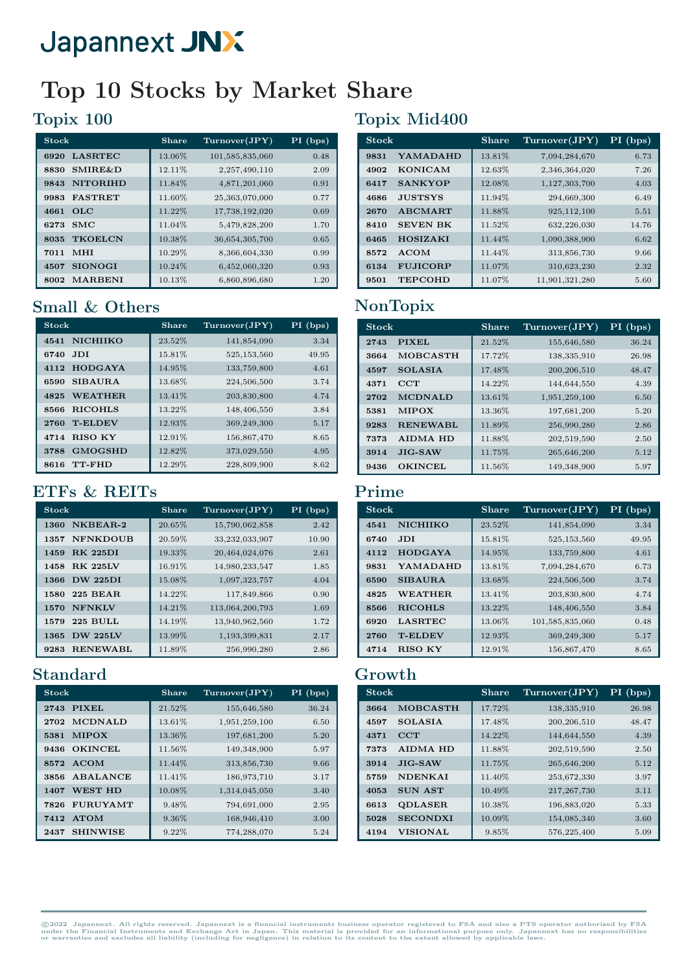# Top 10 Stocks by Market Share

## Topix 100

| <b>Stock</b>               | Share  | Turnover(JPY)   | $PI$ (bps) |
|----------------------------|--------|-----------------|------------|
| <b>LASRTEC</b><br>6920     | 13.06% | 101,585,835,060 | 0.48       |
| <b>SMIRE&amp;D</b><br>8830 | 12.11% | 2,257,490,110   | 2.09       |
| <b>NITORIHD</b><br>9843    | 11.84% | 4,871,201,060   | 0.91       |
| <b>FASTRET</b><br>9983     | 11.60% | 25,363,070,000  | 0.77       |
| 4661<br>OLC                | 11.22% | 17,738,192,020  | 0.69       |
| SMC<br>6273                | 11.04% | 5,479,828,200   | 1.70       |
| <b>TKOELCN</b><br>8035     | 10.38% | 36,654,305,700  | 0.65       |
| MHI<br>7011                | 10.29% | 8,366,604,330   | 0.99       |
| <b>SIONOGI</b><br>4507     | 10.24% | 6,452,060,320   | 0.93       |
| <b>MARBENI</b><br>8002     | 10.13% | 6,860,896,680   | 1.20       |

## Small & Others

| <b>Stock</b>            | Share  | Turnover(JPY) | $PI$ (bps) |
|-------------------------|--------|---------------|------------|
| <b>NICHIIKO</b><br>4541 | 23.52% | 141,854,090   | 3.34       |
| <b>JDI</b><br>6740      | 15.81% | 525,153,560   | 49.95      |
| <b>HODGAYA</b><br>4112  | 14.95% | 133,759,800   | 4.61       |
| <b>SIBAURA</b><br>6590  | 13.68% | 224,506,500   | 3.74       |
| WEATHER.<br>4825        | 13.41% | 203,830,800   | 4.74       |
| <b>RICOHLS</b><br>8566  | 13.22% | 148,406,550   | 3.84       |
| <b>T-ELDEV</b><br>2760  | 12.93% | 369,249,300   | 5.17       |
| <b>RISO KY</b><br>4714  | 12.91% | 156,867,470   | 8.65       |
| <b>GMOGSHD</b><br>3788  | 12.82% | 373,029,550   | 4.95       |
| TT-FHD<br>8616          | 12.29% | 228,809,900   | 8.62       |

### ETFs & REITs

| <b>Stock</b>            | <b>Share</b> | Turnover(JPY)   | $PI$ (bps) |
|-------------------------|--------------|-----------------|------------|
| NKBEAR-2<br>1360        | 20.65%       | 15,790,062,858  | 2.42       |
| <b>NFNKDOUB</b><br>1357 | 20.59%       | 33,232,033,907  | 10.90      |
| <b>RK 225DI</b><br>1459 | 19.33%       | 20,464,024,076  | 2.61       |
| <b>RK 225LV</b><br>1458 | 16.91\%      | 14,980,233,547  | 1.85       |
| <b>DW 225DI</b><br>1366 | 15.08%       | 1,097,323,757   | 4.04       |
| <b>225 BEAR</b><br>1580 | 14.22%       | 117,849,866     | 0.90       |
| <b>NFNKLV</b><br>1570   | 14.21%       | 113,064,200,793 | 1.69       |
| <b>225 BULL</b><br>1579 | 14.19%       | 13,940,962,560  | 1.72       |
| <b>DW 225LV</b><br>1365 | 13.99%       | 1,193,399,831   | 2.17       |
| <b>RENEWABL</b><br>9283 | 11.89%       | 256,990,280     | 2.86       |

# Standard

| <b>Stock</b>            | <b>Share</b> | Turnover(JPY) | $PI$ (bps) |
|-------------------------|--------------|---------------|------------|
| <b>PIXEL</b><br>2743    | 21.52%       | 155,646,580   | 36.24      |
| <b>MCDNALD</b><br>2702  | 13.61%       | 1,951,259,100 | 6.50       |
| <b>MIPOX</b><br>5381    | 13.36%       | 197,681,200   | 5.20       |
| <b>OKINCEL</b><br>9436  | 11.56%       | 149,348,900   | 5.97       |
| <b>ACOM</b><br>8572     | 11.44%       | 313,856,730   | 9.66       |
| ABALANCE<br>3856        | 11.41%       | 186,973,710   | 3.17       |
| <b>WEST HD</b><br>1407  | 10.08%       | 1,314,045,050 | 3.40       |
| <b>FURUYAMT</b><br>7826 | 9.48%        | 794,691,000   | 2.95       |
| <b>ATOM</b><br>7412     | 9.36%        | 168,946,410   | 3.00       |
| <b>SHINWISE</b><br>2437 | 9.22%        | 774,288,070   | 5.24       |

# Topix Mid400

| <b>Stock</b> |                 | Share  | Turnover(JPY)  | $PI$ (bps) |
|--------------|-----------------|--------|----------------|------------|
| 9831         | YAMADAHD        | 13.81% | 7,094,284,670  | 6.73       |
| 4902         | <b>KONICAM</b>  | 12.63% | 2,346,364,020  | 7.26       |
| 6417         | <b>SANKYOP</b>  | 12.08% | 1,127,303,700  | 4.03       |
| 4686         | <b>JUSTSYS</b>  | 11.94% | 294,669,300    | 6.49       |
| 2670         | <b>ABCMART</b>  | 11.88% | 925,112,100    | 5.51       |
| 8410         | <b>SEVEN BK</b> | 11.52% | 632,226,030    | 14.76      |
| 6465         | <b>HOSIZAKI</b> | 11.44% | 1,090,388,900  | 6.62       |
| 8572         | <b>ACOM</b>     | 11.44% | 313,856,730    | 9.66       |
| 6134         | <b>FUJICORP</b> | 11.07% | 310,623,230    | 2.32       |
| 9501         | <b>TEPCOHD</b>  | 11.07% | 11,901,321,280 | 5.60       |

# NonTopix

| <b>Stock</b> |                 | <b>Share</b> | Turnover(JPY) | PI (bps) |
|--------------|-----------------|--------------|---------------|----------|
| 2743         | <b>PIXEL</b>    | 21.52%       | 155,646,580   | 36.24    |
| 3664         | <b>MOBCASTH</b> | 17.72%       | 138,335,910   | 26.98    |
| 4597         | <b>SOLASIA</b>  | 17.48%       | 200,206,510   | 48.47    |
| 4371         | CCT             | 14.22%       | 144,644,550   | 4.39     |
| 2702         | <b>MCDNALD</b>  | 13.61%       | 1,951,259,100 | 6.50     |
| 5381         | <b>MIPOX</b>    | 13.36%       | 197,681,200   | 5.20     |
| 9283         | <b>RENEWABL</b> | 11.89%       | 256,990,280   | 2.86     |
| 7373         | <b>AIDMA HD</b> | 11.88%       | 202,519,590   | 2.50     |
| 3914         | $JIG-SAW$       | 11.75%       | 265,646,200   | 5.12     |
| 9436         | <b>OKINCEL</b>  | 11.56%       | 149,348,900   | 5.97     |

#### Prime

| <b>Stock</b> |                 | Share  | Turnover(JPY)   | $PI$ (bps) |
|--------------|-----------------|--------|-----------------|------------|
| 4541         | <b>NICHIIKO</b> | 23.52% | 141,854,090     | 3.34       |
| 6740         | <b>JDI</b>      | 15.81% | 525, 153, 560   | 49.95      |
| 4112         | <b>HODGAYA</b>  | 14.95% | 133,759,800     | 4.61       |
| 9831         | YAMADAHD        | 13.81% | 7,094,284,670   | 6.73       |
| 6590         | <b>SIBAURA</b>  | 13.68% | 224,506,500     | 3.74       |
| 4825         | <b>WEATHER</b>  | 13.41% | 203,830,800     | 4.74       |
| 8566         | <b>RICOHLS</b>  | 13.22% | 148,406,550     | 3.84       |
| 6920         | <b>LASRTEC</b>  | 13.06% | 101,585,835,060 | 0.48       |
| 2760         | <b>T-ELDEV</b>  | 12.93% | 369,249,300     | 5.17       |
| 4714         | <b>RISO KY</b>  | 12.91% | 156,867,470     | 8.65       |

#### Growth

| <b>Stock</b> |                 | <b>Share</b> | Turnover(JPY) | $PI$ (bps) |
|--------------|-----------------|--------------|---------------|------------|
| 3664         | <b>MOBCASTH</b> | 17.72%       | 138,335,910   | 26.98      |
| 4597         | <b>SOLASIA</b>  | 17.48%       | 200,206,510   | 48.47      |
| 4371         | CCT             | 14.22%       | 144,644,550   | 4.39       |
| 7373         | <b>AIDMA HD</b> | 11.88%       | 202,519,590   | 2.50       |
| 3914         | $JIG-SAW$       | 11.75%       | 265,646,200   | 5.12       |
| 5759         | <b>NDENKAI</b>  | 11.40%       | 253,672,330   | 3.97       |
| 4053         | <b>SUN AST</b>  | 10.49%       | 217, 267, 730 | 3.11       |
| 6613         | <b>QDLASER</b>  | 10.38%       | 196,883,020   | 5.33       |
| 5028         | <b>SECONDXI</b> | 10.09%       | 154,085,340   | 3.60       |
| 4194         | <b>VISIONAL</b> | 9.85%        | 576,225,400   | 5.09       |